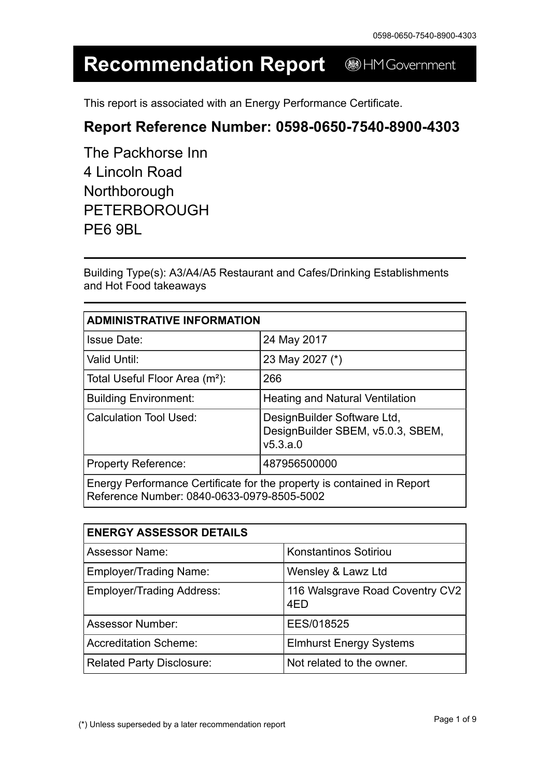#### **Recommendation Report** HM Government

This report is associated with an Energy Performance Certificate.

#### **Report Reference Number: 0598-0650-7540-8900-4303**

| The Packhorse Inn   |
|---------------------|
| 4 Lincoln Road      |
| Northborough        |
| <b>PETERBOROUGH</b> |
| PE6 9BL             |

Building Type(s): A3/A4/A5 Restaurant and Cafes/Drinking Establishments and Hot Food takeaways

| <b>ADMINISTRATIVE INFORMATION</b>                                                                                    |                                                                              |  |
|----------------------------------------------------------------------------------------------------------------------|------------------------------------------------------------------------------|--|
| <b>Issue Date:</b>                                                                                                   | 24 May 2017                                                                  |  |
| <b>Valid Until:</b>                                                                                                  | 23 May 2027 (*)                                                              |  |
| Total Useful Floor Area (m <sup>2</sup> ):                                                                           | 266                                                                          |  |
| <b>Building Environment:</b>                                                                                         | <b>Heating and Natural Ventilation</b>                                       |  |
| <b>Calculation Tool Used:</b>                                                                                        | DesignBuilder Software Ltd,<br>DesignBuilder SBEM, v5.0.3, SBEM,<br>v5.3.a.0 |  |
| <b>Property Reference:</b>                                                                                           | 487956500000                                                                 |  |
| Energy Performance Certificate for the property is contained in Report<br>Reference Number: 0840-0633-0979-8505-5002 |                                                                              |  |

| <b>ENERGY ASSESSOR DETAILS</b>   |                                        |
|----------------------------------|----------------------------------------|
| <b>Assessor Name:</b>            | <b>Konstantinos Sotiriou</b>           |
| <b>Employer/Trading Name:</b>    | Wensley & Lawz Ltd                     |
| <b>Employer/Trading Address:</b> | 116 Walsgrave Road Coventry CV2<br>4ED |
| <b>Assessor Number:</b>          | EES/018525                             |
| <b>Accreditation Scheme:</b>     | <b>Elmhurst Energy Systems</b>         |
| <b>Related Party Disclosure:</b> | Not related to the owner.              |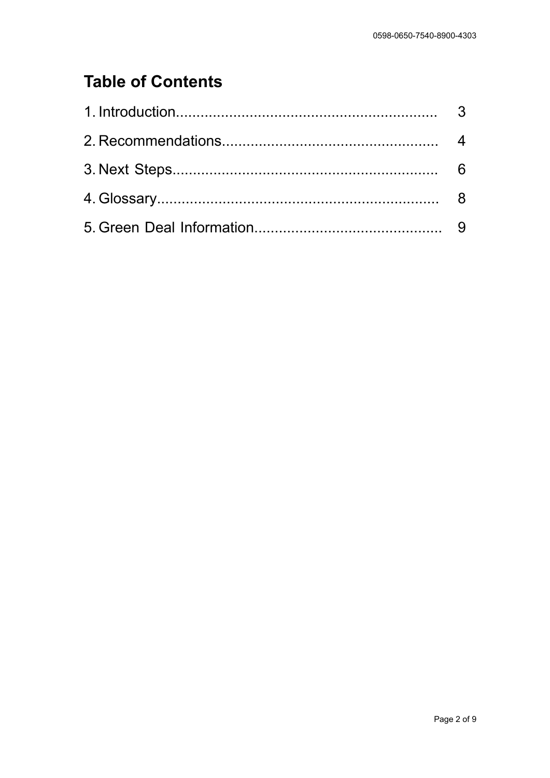# **Table of Contents**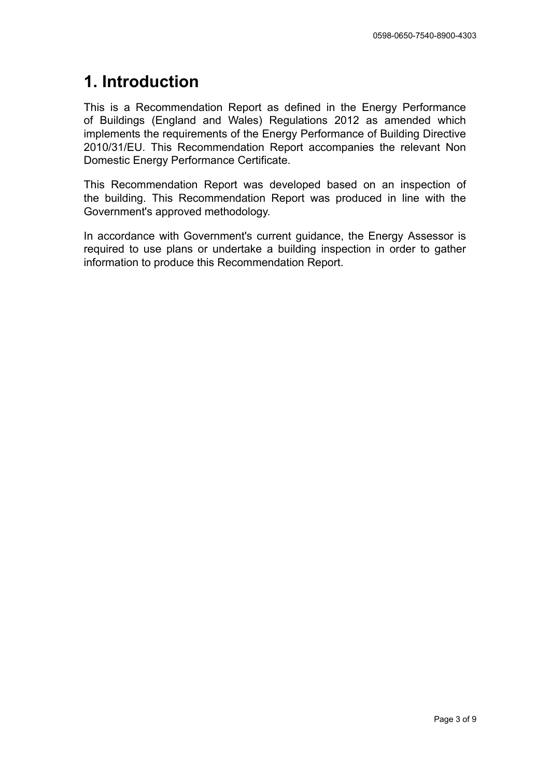### **1. Introduction**

This is a Recommendation Report as defined in the Energy Performance of Buildings (England and Wales) Regulations 2012 as amended which implements the requirements of the Energy Performance of Building Directive 2010/31/EU. This Recommendation Report accompanies the relevant Non Domestic Energy Performance Certificate.

This Recommendation Report was developed based on an inspection of the building. This Recommendation Report was produced in line with the Government's approved methodology.

In accordance with Government's current guidance, the Energy Assessor is required to use plans or undertake a building inspection in order to gather information to produce this Recommendation Report.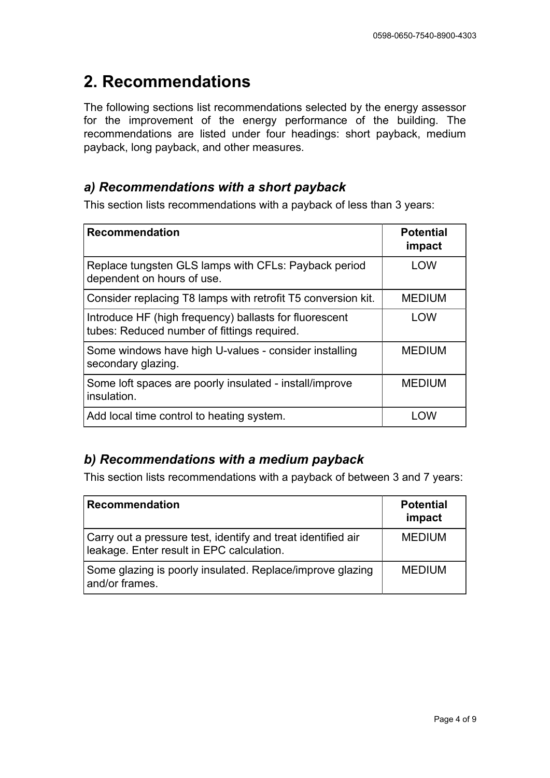### **2. Recommendations**

The following sections list recommendations selected by the energy assessor for the improvement of the energy performance of the building. The recommendations are listed under four headings: short payback, medium payback, long payback, and other measures.

#### *a) Recommendations with a short payback*

This section lists recommendations with a payback of less than 3 years:

| <b>Recommendation</b>                                                                                 | <b>Potential</b><br>impact |
|-------------------------------------------------------------------------------------------------------|----------------------------|
| Replace tungsten GLS lamps with CFLs: Payback period<br>dependent on hours of use.                    | LOW                        |
| Consider replacing T8 lamps with retrofit T5 conversion kit.                                          | <b>MEDIUM</b>              |
| Introduce HF (high frequency) ballasts for fluorescent<br>tubes: Reduced number of fittings required. | LOW                        |
| Some windows have high U-values - consider installing<br>secondary glazing.                           | <b>MEDIUM</b>              |
| Some loft spaces are poorly insulated - install/improve<br>insulation.                                | <b>MEDIUM</b>              |
| Add local time control to heating system.                                                             | I OW                       |

#### *b) Recommendations with a medium payback*

This section lists recommendations with a payback of between 3 and 7 years:

| <b>Recommendation</b>                                                                                     | <b>Potential</b><br>impact |
|-----------------------------------------------------------------------------------------------------------|----------------------------|
| Carry out a pressure test, identify and treat identified air<br>leakage. Enter result in EPC calculation. | <b>MEDIUM</b>              |
| Some glazing is poorly insulated. Replace/improve glazing<br>and/or frames.                               | <b>MEDIUM</b>              |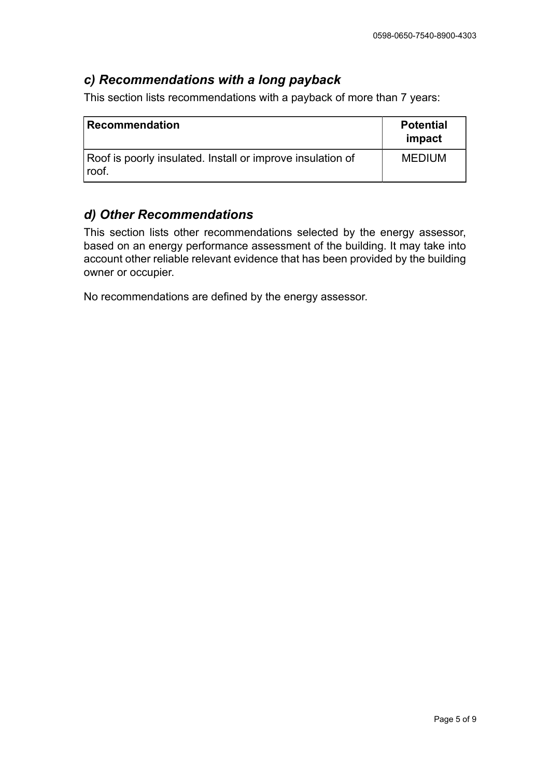#### *c) Recommendations with a long payback*

This section lists recommendations with a payback of more than 7 years:

| Recommendation                                                      | <b>Potential</b><br>impact |
|---------------------------------------------------------------------|----------------------------|
| Roof is poorly insulated. Install or improve insulation of<br>roof. | <b>MEDIUM</b>              |

#### *d) Other Recommendations*

This section lists other recommendations selected by the energy assessor, based on an energy performance assessment of the building. It may take into account other reliable relevant evidence that has been provided by the building owner or occupier.

No recommendations are defined by the energy assessor.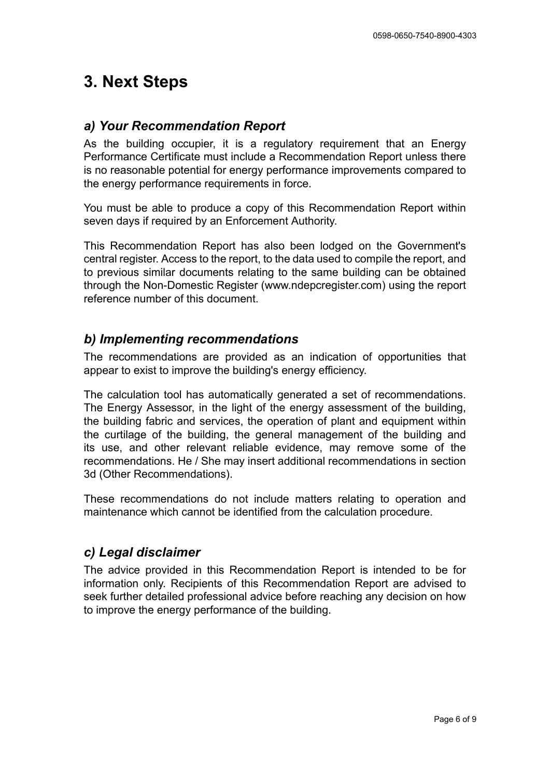### **3. Next Steps**

#### *a) Your Recommendation Report*

As the building occupier, it is a regulatory requirement that an Energy Performance Certificate must include a Recommendation Report unless there is no reasonable potential for energy performance improvements compared to the energy performance requirements in force.

You must be able to produce a copy of this Recommendation Report within seven days if required by an Enforcement Authority.

This Recommendation Report has also been lodged on the Government's central register. Access to the report, to the data used to compile the report, and to previous similar documents relating to the same building can be obtained through the Non-Domestic Register (www.ndepcregister.com) using the report reference number of this document.

#### *b) Implementing recommendations*

The recommendations are provided as an indication of opportunities that appear to exist to improve the building's energy efficiency.

The calculation tool has automatically generated a set of recommendations. The Energy Assessor, in the light of the energy assessment of the building, the building fabric and services, the operation of plant and equipment within the curtilage of the building, the general management of the building and its use, and other relevant reliable evidence, may remove some of the recommendations. He / She may insert additional recommendations in section 3d (Other Recommendations).

These recommendations do not include matters relating to operation and maintenance which cannot be identified from the calculation procedure.

#### *c) Legal disclaimer*

The advice provided in this Recommendation Report is intended to be for information only. Recipients of this Recommendation Report are advised to seek further detailed professional advice before reaching any decision on how to improve the energy performance of the building.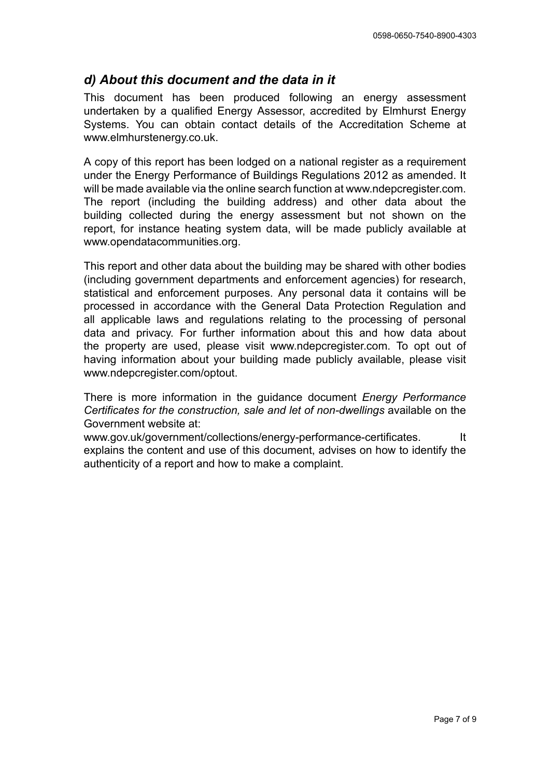#### *d) About this document and the data in it*

This document has been produced following an energy assessment undertaken by a qualified Energy Assessor, accredited by Elmhurst Energy Systems. You can obtain contact details of the Accreditation Scheme at www.elmhurstenergy.co.uk.

A copy of this report has been lodged on a national register as a requirement under the Energy Performance of Buildings Regulations 2012 as amended. It will be made available via the online search function at www.ndepcregister.com. The report (including the building address) and other data about the building collected during the energy assessment but not shown on the report, for instance heating system data, will be made publicly available at www.opendatacommunities.org.

This report and other data about the building may be shared with other bodies (including government departments and enforcement agencies) for research, statistical and enforcement purposes. Any personal data it contains will be processed in accordance with the General Data Protection Regulation and all applicable laws and regulations relating to the processing of personal data and privacy. For further information about this and how data about the property are used, please visit www.ndepcregister.com. To opt out of having information about your building made publicly available, please visit www.ndepcregister.com/optout.

There is more information in the guidance document *Energy Performance Certificates for the construction, sale and let of non-dwellings* available on the Government website at:

www.gov.uk/government/collections/energy-performance-certificates. It explains the content and use of this document, advises on how to identify the authenticity of a report and how to make a complaint.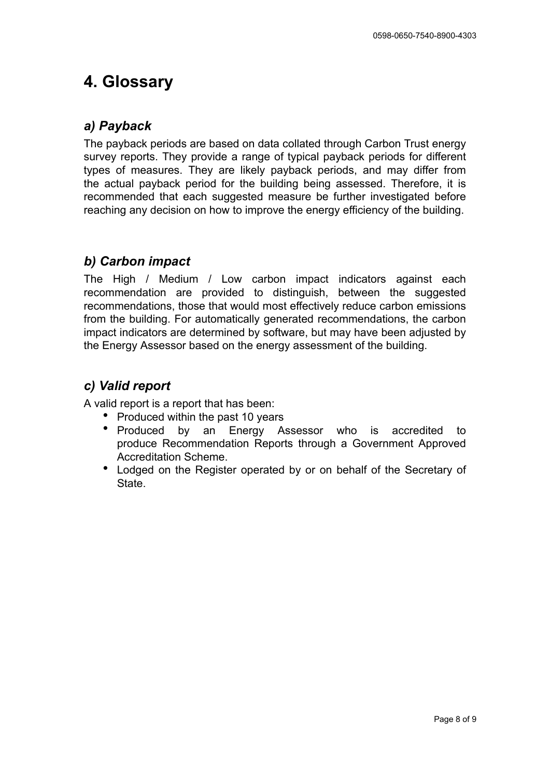### **4. Glossary**

#### *a) Payback*

The payback periods are based on data collated through Carbon Trust energy survey reports. They provide a range of typical payback periods for different types of measures. They are likely payback periods, and may differ from the actual payback period for the building being assessed. Therefore, it is recommended that each suggested measure be further investigated before reaching any decision on how to improve the energy efficiency of the building.

### *b) Carbon impact*

The High / Medium / Low carbon impact indicators against each recommendation are provided to distinguish, between the suggested recommendations, those that would most effectively reduce carbon emissions from the building. For automatically generated recommendations, the carbon impact indicators are determined by software, but may have been adjusted by the Energy Assessor based on the energy assessment of the building.

#### *c) Valid report*

A valid report is a report that has been:

- **•** Produced within the past 10 years
- **•** Produced by an Energy Assessor who is accredited to produce Recommendation Reports through a Government Approved Accreditation Scheme.
- **•** Lodged on the Register operated by or on behalf of the Secretary of **State**